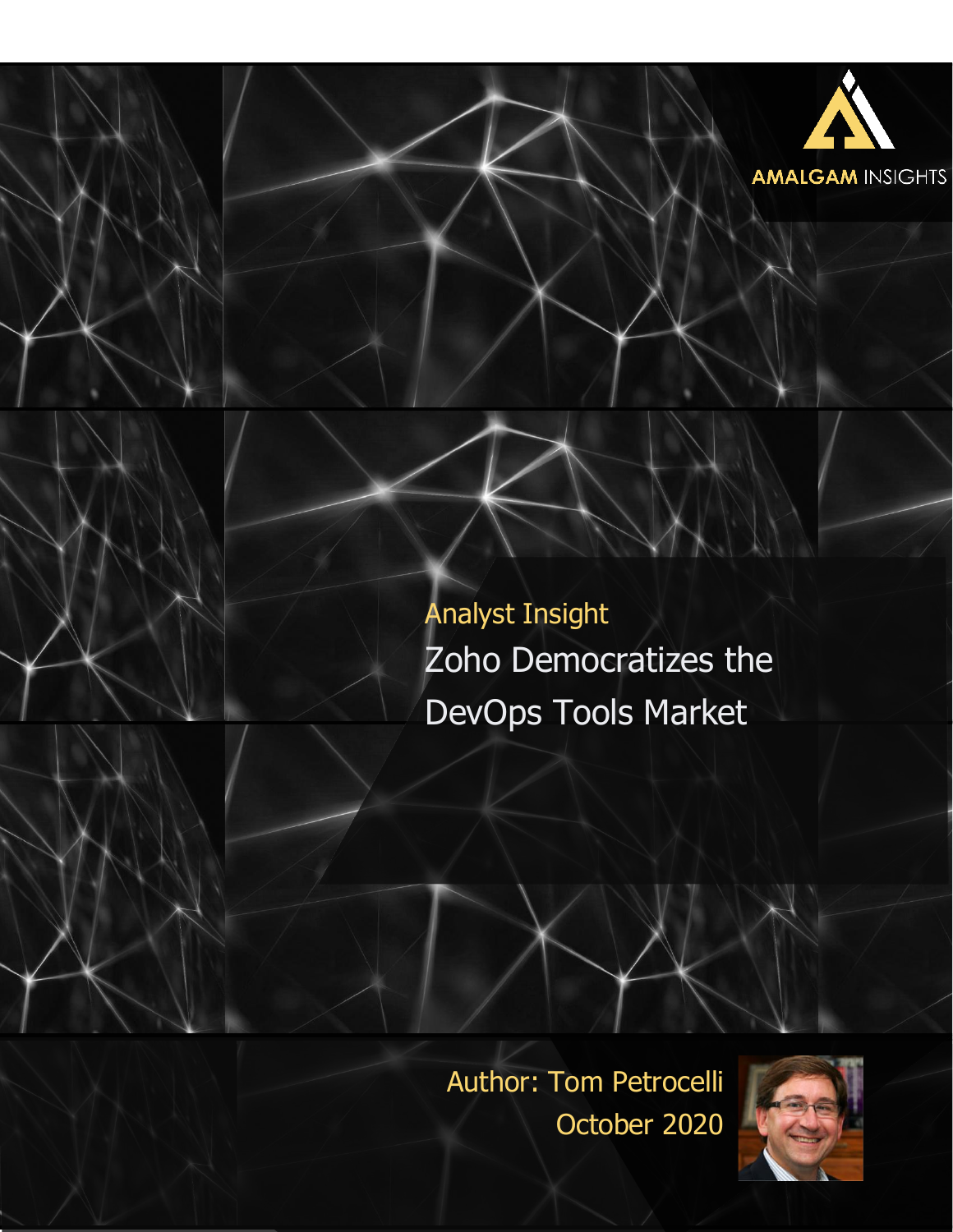

Author: Tom Petrocelli October 2020

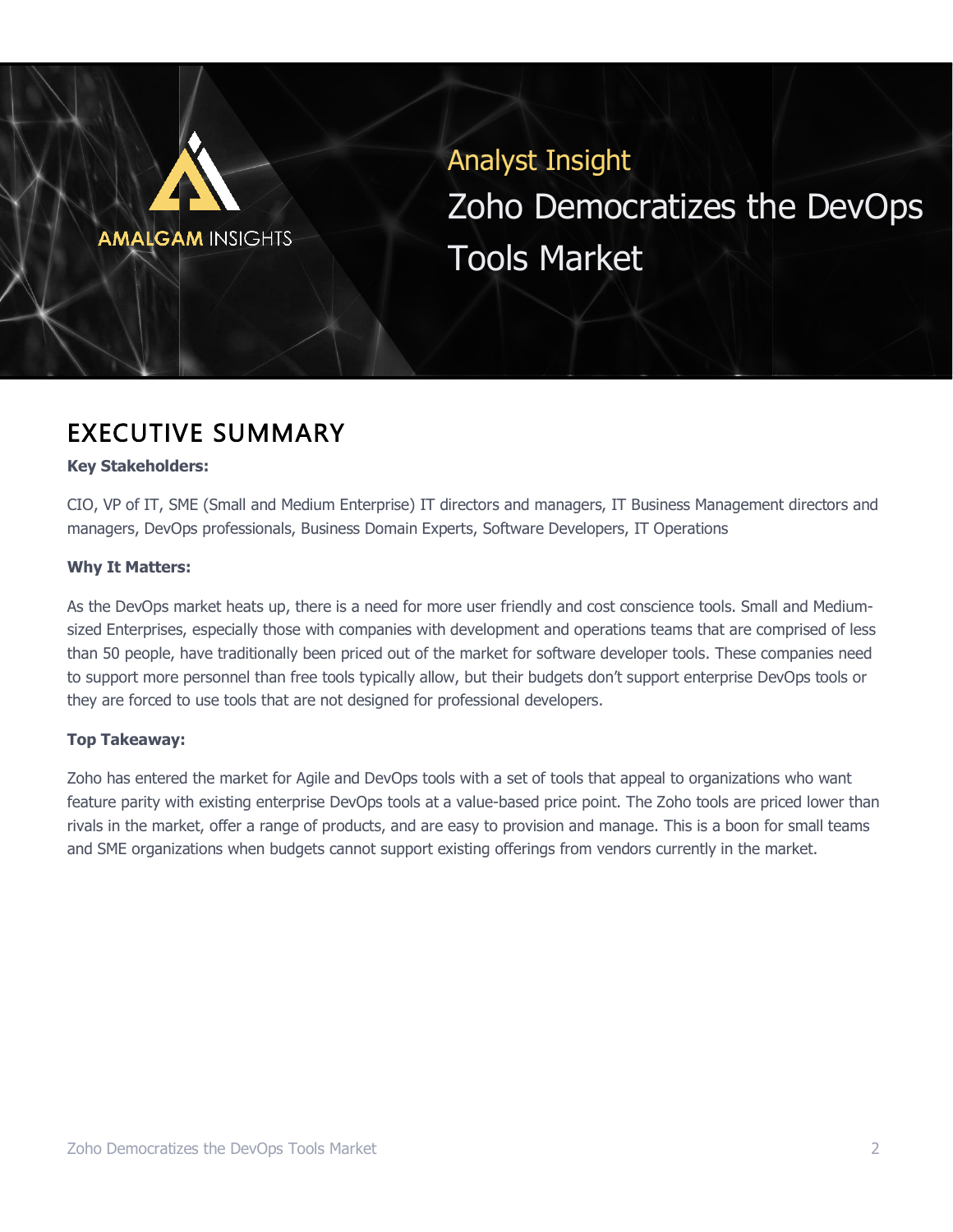# **AMALGAM INSIGHTS**

Analyst Insight Zoho Democratizes the DevOps Tools Market

## EXECUTIVE SUMMARY

#### **Key Stakeholders:**

CIO, VP of IT, SME (Small and Medium Enterprise) IT directors and managers, IT Business Management directors and managers, DevOps professionals, Business Domain Experts, Software Developers, IT Operations

#### **Why It Matters:**

As the DevOps market heats up, there is a need for more user friendly and cost conscience tools. Small and Mediumsized Enterprises, especially those with companies with development and operations teams that are comprised of less than 50 people, have traditionally been priced out of the market for software developer tools. These companies need to support more personnel than free tools typically allow, but their budgets don't support enterprise DevOps tools or they are forced to use tools that are not designed for professional developers.

#### **Top Takeaway:**

Zoho has entered the market for Agile and DevOps tools with a set of tools that appeal to organizations who want feature parity with existing enterprise DevOps tools at a value-based price point. The Zoho tools are priced lower than rivals in the market, offer a range of products, and are easy to provision and manage. This is a boon for small teams and SME organizations when budgets cannot support existing offerings from vendors currently in the market.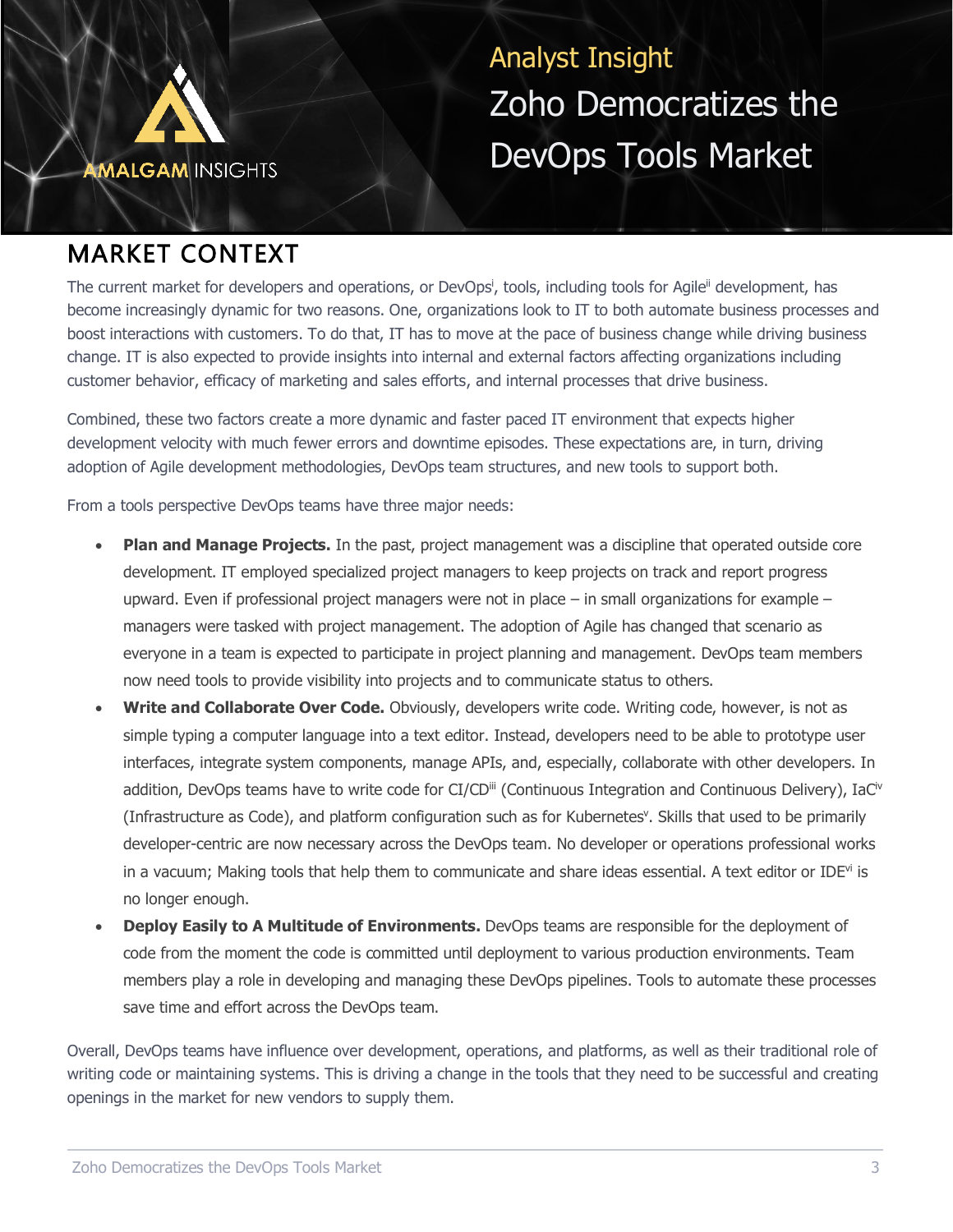

## MARKET CONTEXT

The current market for developers and operations, or DevOps<sup>i</sup>, tools, including tools for Agile<sup>ii</sup> development, has become increasingly dynamic for two reasons. One, organizations look to IT to both automate business processes and boost interactions with customers. To do that, IT has to move at the pace of business change while driving business change. IT is also expected to provide insights into internal and external factors affecting organizations including customer behavior, efficacy of marketing and sales efforts, and internal processes that drive business.

Combined, these two factors create a more dynamic and faster paced IT environment that expects higher development velocity with much fewer errors and downtime episodes. These expectations are, in turn, driving adoption of Agile development methodologies, DevOps team structures, and new tools to support both.

From a tools perspective DevOps teams have three major needs:

- **Plan and Manage Projects.** In the past, project management was a discipline that operated outside core development. IT employed specialized project managers to keep projects on track and report progress upward. Even if professional project managers were not in place  $-$  in small organizations for example  $$ managers were tasked with project management. The adoption of Agile has changed that scenario as everyone in a team is expected to participate in project planning and management. DevOps team members now need tools to provide visibility into projects and to communicate status to others.
- **Write and Collaborate Over Code.** Obviously, developers write code. Writing code, however, is not as simple typing a computer language into a text editor. Instead, developers need to be able to prototype user interfaces, integrate system components, manage APIs, and, especially, collaborate with other developers. In addition, DevOps teams have to write code for CI/CD<sup>iii</sup> (Continuous Integration and Continuous Delivery), IaC<sup>iv</sup> (Infrastructure as Code), and platform configuration such as for Kubernetes<sup>y</sup>. Skills that used to be primarily developer-centric are now necessary across the DevOps team. No developer or operations professional works in a vacuum; Making tools that help them to communicate and share ideas essential. A text editor or IDE<sup>vi</sup> is no longer enough.
- **Deploy Easily to A Multitude of Environments.** DevOps teams are responsible for the deployment of code from the moment the code is committed until deployment to various production environments. Team members play a role in developing and managing these DevOps pipelines. Tools to automate these processes save time and effort across the DevOps team.

Overall, DevOps teams have influence over development, operations, and platforms, as well as their traditional role of writing code or maintaining systems. This is driving a change in the tools that they need to be successful and creating openings in the market for new vendors to supply them.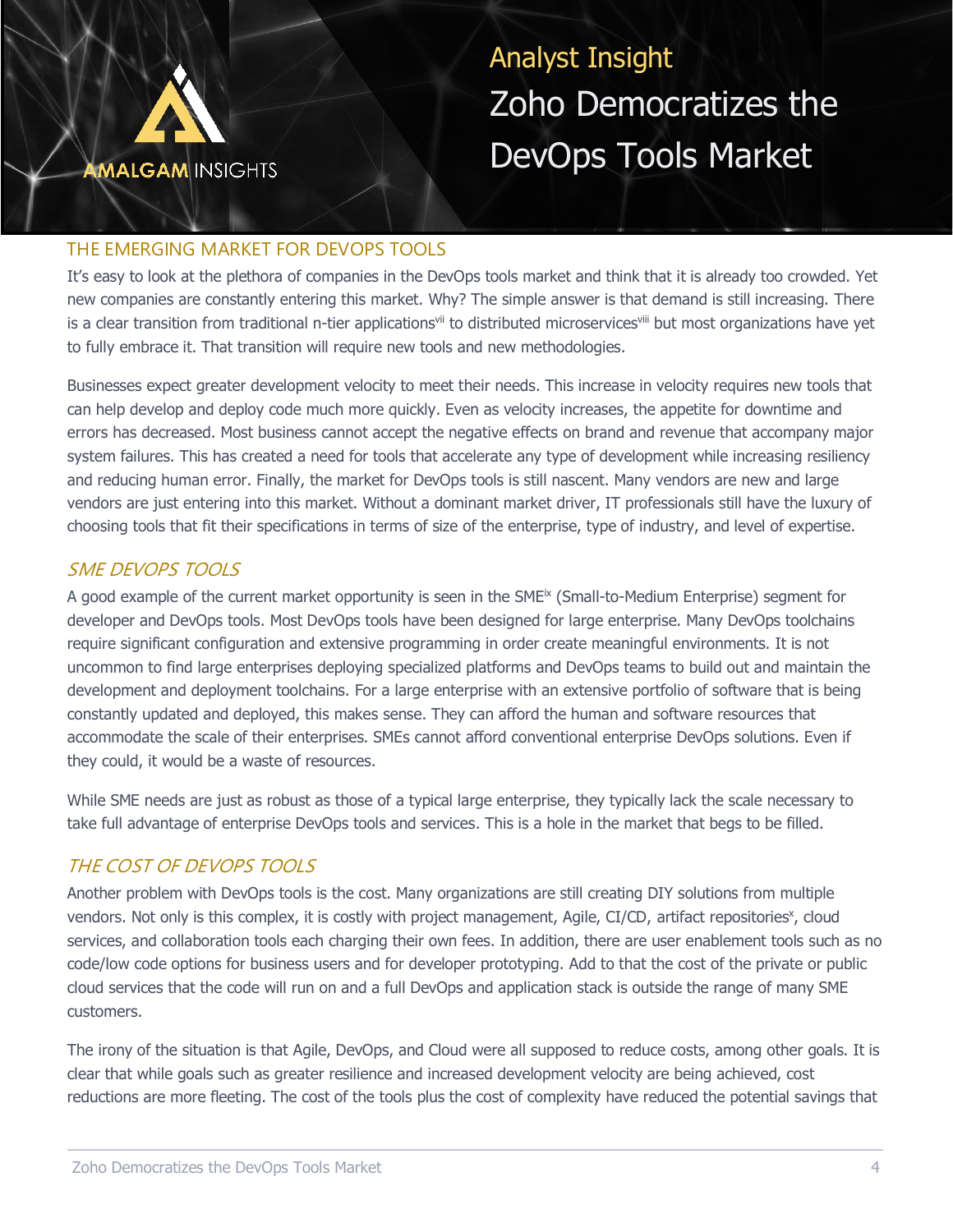![](_page_3_Picture_0.jpeg)

#### THE EMERGING MARKET FOR DEVOPS TOOLS

It's easy to look at the plethora of companies in the DevOps tools market and think that it is already too crowded. Yet new companies are constantly entering this market. Why? The simple answer is that demand is still increasing. There is a clear transition from traditional n-tier applications<sup>vii</sup> to distributed microservices<sup>viii</sup> but most organizations have yet to fully embrace it. That transition will require new tools and new methodologies.

Businesses expect greater development velocity to meet their needs. This increase in velocity requires new tools that can help develop and deploy code much more quickly. Even as velocity increases, the appetite for downtime and errors has decreased. Most business cannot accept the negative effects on brand and revenue that accompany major system failures. This has created a need for tools that accelerate any type of development while increasing resiliency and reducing human error. Finally, the market for DevOps tools is still nascent. Many vendors are new and large vendors are just entering into this market. Without a dominant market driver, IT professionals still have the luxury of choosing tools that fit their specifications in terms of size of the enterprise, type of industry, and level of expertise.

#### SME DEVOPS TOOLS

A good example of the current market opportunity is seen in the SME<sup>IX</sup> (Small-to-Medium Enterprise) segment for developer and DevOps tools. Most DevOps tools have been designed for large enterprise. Many DevOps toolchains require significant configuration and extensive programming in order create meaningful environments. It is not uncommon to find large enterprises deploying specialized platforms and DevOps teams to build out and maintain the development and deployment toolchains. For a large enterprise with an extensive portfolio of software that is being constantly updated and deployed, this makes sense. They can afford the human and software resources that accommodate the scale of their enterprises. SMEs cannot afford conventional enterprise DevOps solutions. Even if they could, it would be a waste of resources.

While SME needs are just as robust as those of a typical large enterprise, they typically lack the scale necessary to take full advantage of enterprise DevOps tools and services. This is a hole in the market that begs to be filled.

## THE COST OF DEVOPS TOOLS

Another problem with DevOps tools is the cost. Many organizations are still creating DIY solutions from multiple vendors. Not only is this complex, it is costly with project management, Agile, CI/CD, artifact repositories<sup>x</sup>, cloud services, and collaboration tools each charging their own fees. In addition, there are user enablement tools such as no code/low code options for business users and for developer prototyping. Add to that the cost of the private or public cloud services that the code will run on and a full DevOps and application stack is outside the range of many SME customers.

The irony of the situation is that Agile, DevOps, and Cloud were all supposed to reduce costs, among other goals. It is clear that while goals such as greater resilience and increased development velocity are being achieved, cost reductions are more fleeting. The cost of the tools plus the cost of complexity have reduced the potential savings that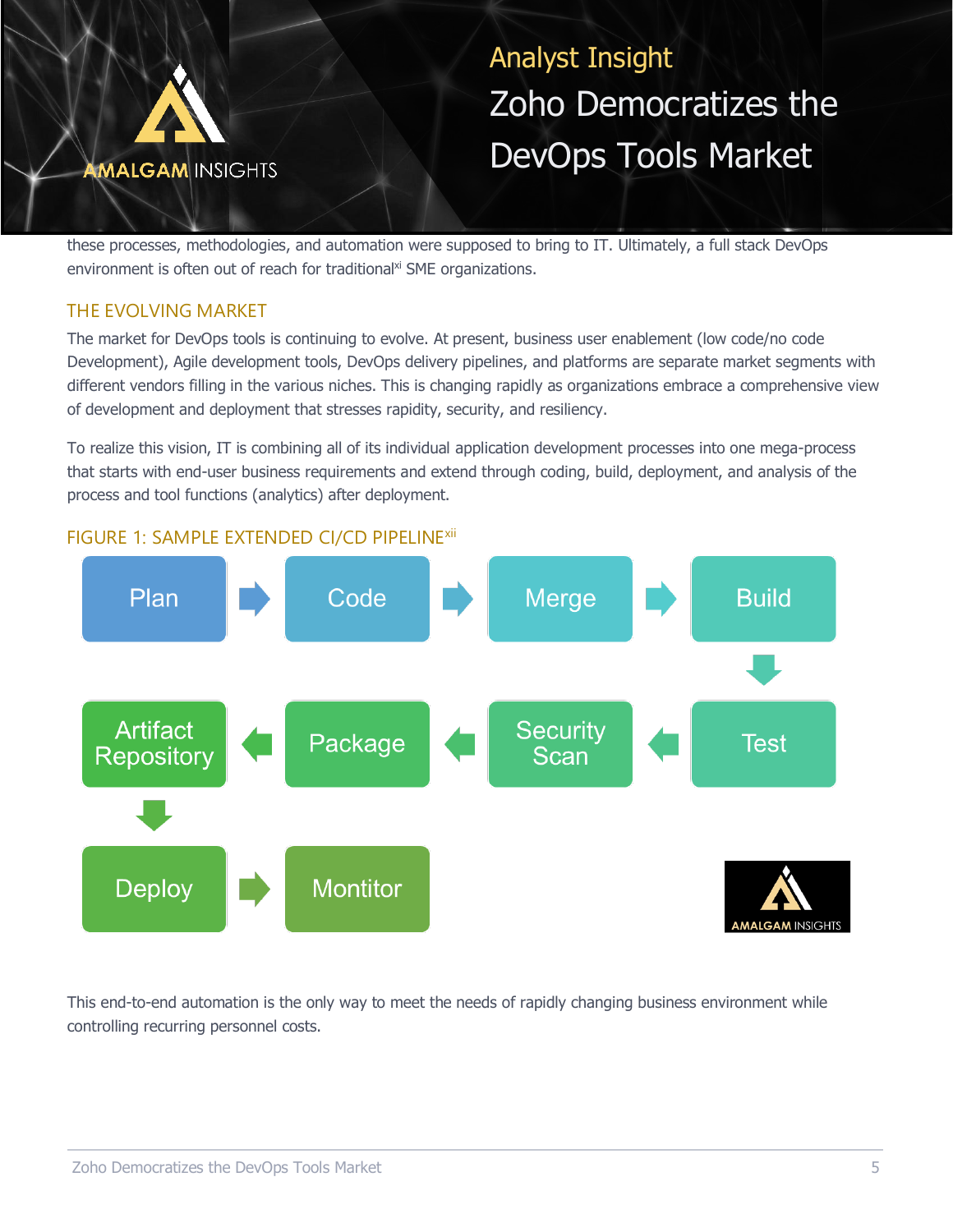![](_page_4_Picture_0.jpeg)

these processes, methodologies, and automation were supposed to bring to IT. Ultimately, a full stack DevOps environment is often out of reach for traditional<sup>xi</sup> SME organizations.

## THE EVOLVING MARKET

The market for DevOps tools is continuing to evolve. At present, business user enablement (low code/no code Development), Agile development tools, DevOps delivery pipelines, and platforms are separate market segments with different vendors filling in the various niches. This is changing rapidly as organizations embrace a comprehensive view of development and deployment that stresses rapidity, security, and resiliency.

To realize this vision, IT is combining all of its individual application development processes into one mega-process that starts with end-user business requirements and extend through coding, build, deployment, and analysis of the process and tool functions (analytics) after deployment.

![](_page_4_Figure_6.jpeg)

This end-to-end automation is the only way to meet the needs of rapidly changing business environment while controlling recurring personnel costs.

## FIGURE 1: SAMPLE EXTENDED CI/CD PIPELINE<sup>xii</sup>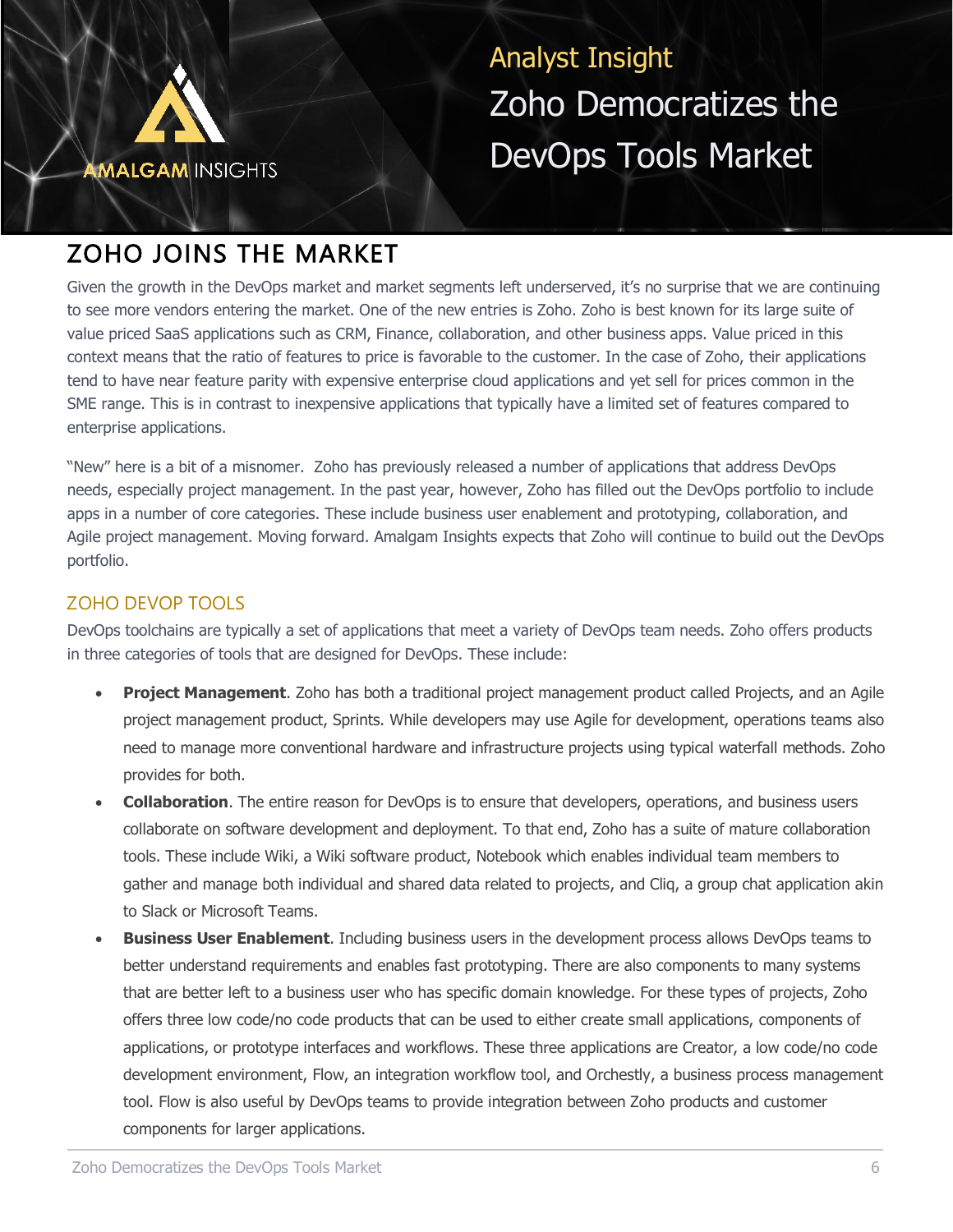![](_page_5_Picture_0.jpeg)

## ZOHO JOINS THE MARKET

Given the growth in the DevOps market and market segments left underserved, it's no surprise that we are continuing to see more vendors entering the market. One of the new entries is Zoho. Zoho is best known for its large suite of value priced SaaS applications such as CRM, Finance, collaboration, and other business apps. Value priced in this context means that the ratio of features to price is favorable to the customer. In the case of Zoho, their applications tend to have near feature parity with expensive enterprise cloud applications and yet sell for prices common in the SME range. This is in contrast to inexpensive applications that typically have a limited set of features compared to enterprise applications.

"New" here is a bit of a misnomer. Zoho has previously released a number of applications that address DevOps needs, especially project management. In the past year, however, Zoho has filled out the DevOps portfolio to include apps in a number of core categories. These include business user enablement and prototyping, collaboration, and Agile project management. Moving forward. Amalgam Insights expects that Zoho will continue to build out the DevOps portfolio.

## ZOHO DEVOP TOOLS

DevOps toolchains are typically a set of applications that meet a variety of DevOps team needs. Zoho offers products in three categories of tools that are designed for DevOps. These include:

- **Project Management**. Zoho has both a traditional project management product called Projects, and an Agile project management product, Sprints. While developers may use Agile for development, operations teams also need to manage more conventional hardware and infrastructure projects using typical waterfall methods. Zoho provides for both.
- **Collaboration**. The entire reason for DevOps is to ensure that developers, operations, and business users collaborate on software development and deployment. To that end, Zoho has a suite of mature collaboration tools. These include Wiki, a Wiki software product, Notebook which enables individual team members to gather and manage both individual and shared data related to projects, and Cliq, a group chat application akin to Slack or Microsoft Teams.
- **Business User Enablement**. Including business users in the development process allows DevOps teams to better understand requirements and enables fast prototyping. There are also components to many systems that are better left to a business user who has specific domain knowledge. For these types of projects, Zoho offers three low code/no code products that can be used to either create small applications, components of applications, or prototype interfaces and workflows. These three applications are Creator, a low code/no code development environment, Flow, an integration workflow tool, and Orchestly, a business process management tool. Flow is also useful by DevOps teams to provide integration between Zoho products and customer components for larger applications.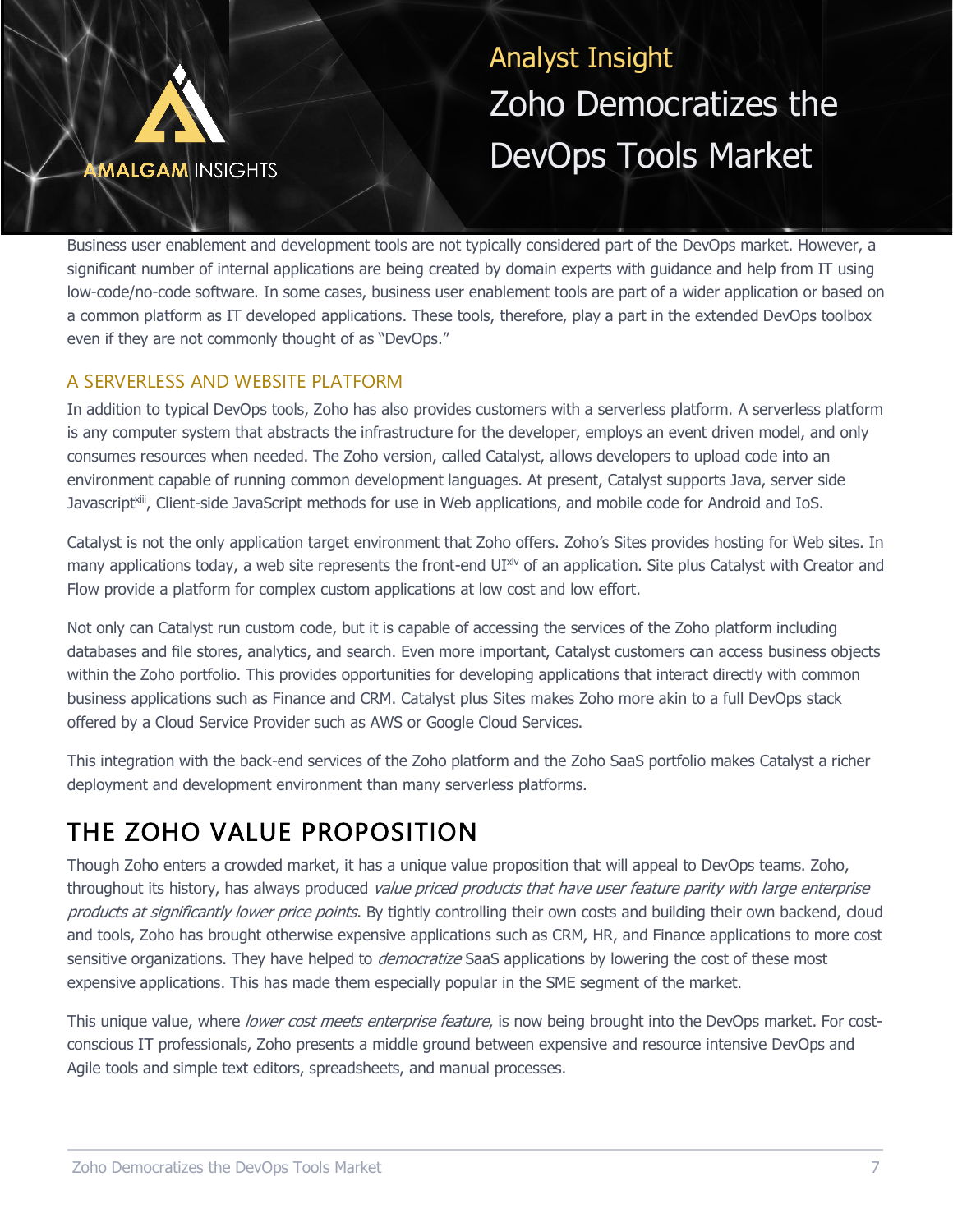![](_page_6_Picture_0.jpeg)

Business user enablement and development tools are not typically considered part of the DevOps market. However, a significant number of internal applications are being created by domain experts with guidance and help from IT using low-code/no-code software. In some cases, business user enablement tools are part of a wider application or based on a common platform as IT developed applications. These tools, therefore, play a part in the extended DevOps toolbox even if they are not commonly thought of as "DevOps."

## A SERVERLESS AND WEBSITE PLATFORM

In addition to typical DevOps tools, Zoho has also provides customers with a serverless platform. A serverless platform is any computer system that abstracts the infrastructure for the developer, employs an event driven model, and only consumes resources when needed. The Zoho version, called Catalyst, allows developers to upload code into an environment capable of running common development languages. At present, Catalyst supports Java, server side Javascript<sup>xiii</sup>, Client-side JavaScript methods for use in Web applications, and mobile code for Android and IoS.

Catalyst is not the only application target environment that Zoho offers. Zoho's Sites provides hosting for Web sites. In many applications today, a web site represents the front-end UIxiv of an application. Site plus Catalyst with Creator and Flow provide a platform for complex custom applications at low cost and low effort.

Not only can Catalyst run custom code, but it is capable of accessing the services of the Zoho platform including databases and file stores, analytics, and search. Even more important, Catalyst customers can access business objects within the Zoho portfolio. This provides opportunities for developing applications that interact directly with common business applications such as Finance and CRM. Catalyst plus Sites makes Zoho more akin to a full DevOps stack offered by a Cloud Service Provider such as AWS or Google Cloud Services.

This integration with the back-end services of the Zoho platform and the Zoho SaaS portfolio makes Catalyst a richer deployment and development environment than many serverless platforms.

## THE ZOHO VALUE PROPOSITION

Though Zoho enters a crowded market, it has a unique value proposition that will appeal to DevOps teams. Zoho, throughout its history, has always produced value priced products that have user feature parity with large enterprise products at significantly lower price points. By tightly controlling their own costs and building their own backend, cloud and tools, Zoho has brought otherwise expensive applications such as CRM, HR, and Finance applications to more cost sensitive organizations. They have helped to *democratize* SaaS applications by lowering the cost of these most expensive applications. This has made them especially popular in the SME segment of the market.

This unique value, where lower cost meets enterprise feature, is now being brought into the DevOps market. For costconscious IT professionals, Zoho presents a middle ground between expensive and resource intensive DevOps and Agile tools and simple text editors, spreadsheets, and manual processes.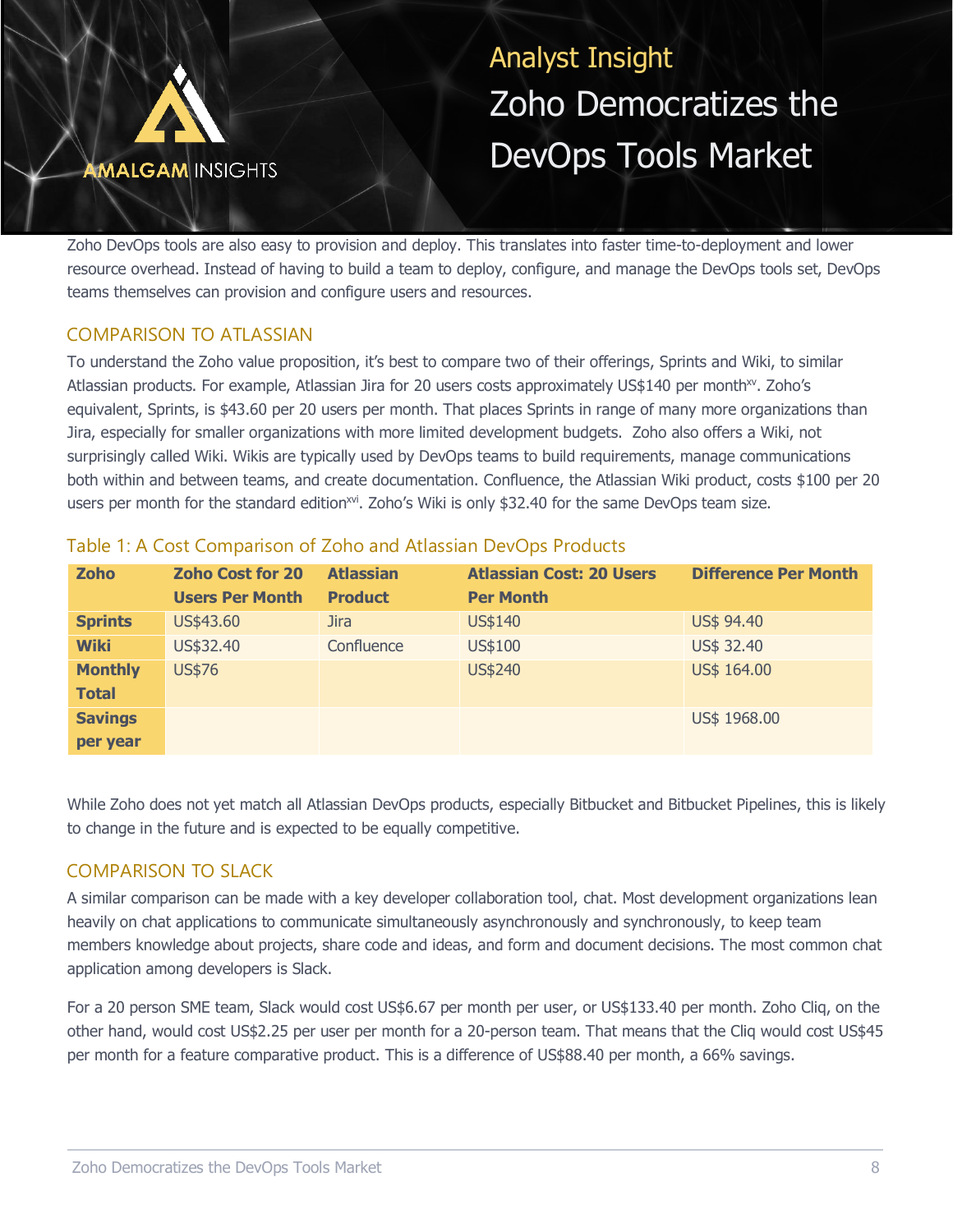![](_page_7_Picture_0.jpeg)

Zoho DevOps tools are also easy to provision and deploy. This translates into faster time-to-deployment and lower resource overhead. Instead of having to build a team to deploy, configure, and manage the DevOps tools set, DevOps teams themselves can provision and configure users and resources.

## COMPARISON TO ATLASSIAN

To understand the Zoho value proposition, it's best to compare two of their offerings, Sprints and Wiki, to similar Atlassian products. For example, Atlassian Jira for 20 users costs approximately US\$140 per month<sup>xv</sup>. Zoho's equivalent, Sprints, is \$43.60 per 20 users per month. That places Sprints in range of many more organizations than Jira, especially for smaller organizations with more limited development budgets. Zoho also offers a Wiki, not surprisingly called Wiki. Wikis are typically used by DevOps teams to build requirements, manage communications both within and between teams, and create documentation. Confluence, the Atlassian Wiki product, costs \$100 per 20 users per month for the standard edition<sup>xvi</sup>. Zoho's Wiki is only \$32.40 for the same DevOps team size.

| <b>Zoho</b>                    | <b>Zoho Cost for 20</b><br><b>Users Per Month</b> | <b>Atlassian</b><br><b>Product</b> | <b>Atlassian Cost: 20 Users</b><br><b>Per Month</b> | <b>Difference Per Month</b> |
|--------------------------------|---------------------------------------------------|------------------------------------|-----------------------------------------------------|-----------------------------|
| <b>Sprints</b>                 | US\$43.60                                         | <b>Jira</b>                        | US\$140                                             | US\$ 94.40                  |
| <b>Wiki</b>                    | US\$32.40                                         | Confluence                         | US\$100                                             | US\$ 32.40                  |
| <b>Monthly</b><br><b>Total</b> | <b>US\$76</b>                                     |                                    | <b>US\$240</b>                                      | US\$ 164.00                 |
| <b>Savings</b><br>per year     |                                                   |                                    |                                                     | US\$ 1968.00                |

## Table 1: A Cost Comparison of Zoho and Atlassian DevOps Products

While Zoho does not yet match all Atlassian DevOps products, especially Bitbucket and Bitbucket Pipelines, this is likely to change in the future and is expected to be equally competitive.

## COMPARISON TO SLACK

A similar comparison can be made with a key developer collaboration tool, chat. Most development organizations lean heavily on chat applications to communicate simultaneously asynchronously and synchronously, to keep team members knowledge about projects, share code and ideas, and form and document decisions. The most common chat application among developers is Slack.

For a 20 person SME team, Slack would cost US\$6.67 per month per user, or US\$133.40 per month. Zoho Cliq, on the other hand, would cost US\$2.25 per user per month for a 20-person team. That means that the Cliq would cost US\$45 per month for a feature comparative product. This is a difference of US\$88.40 per month, a 66% savings.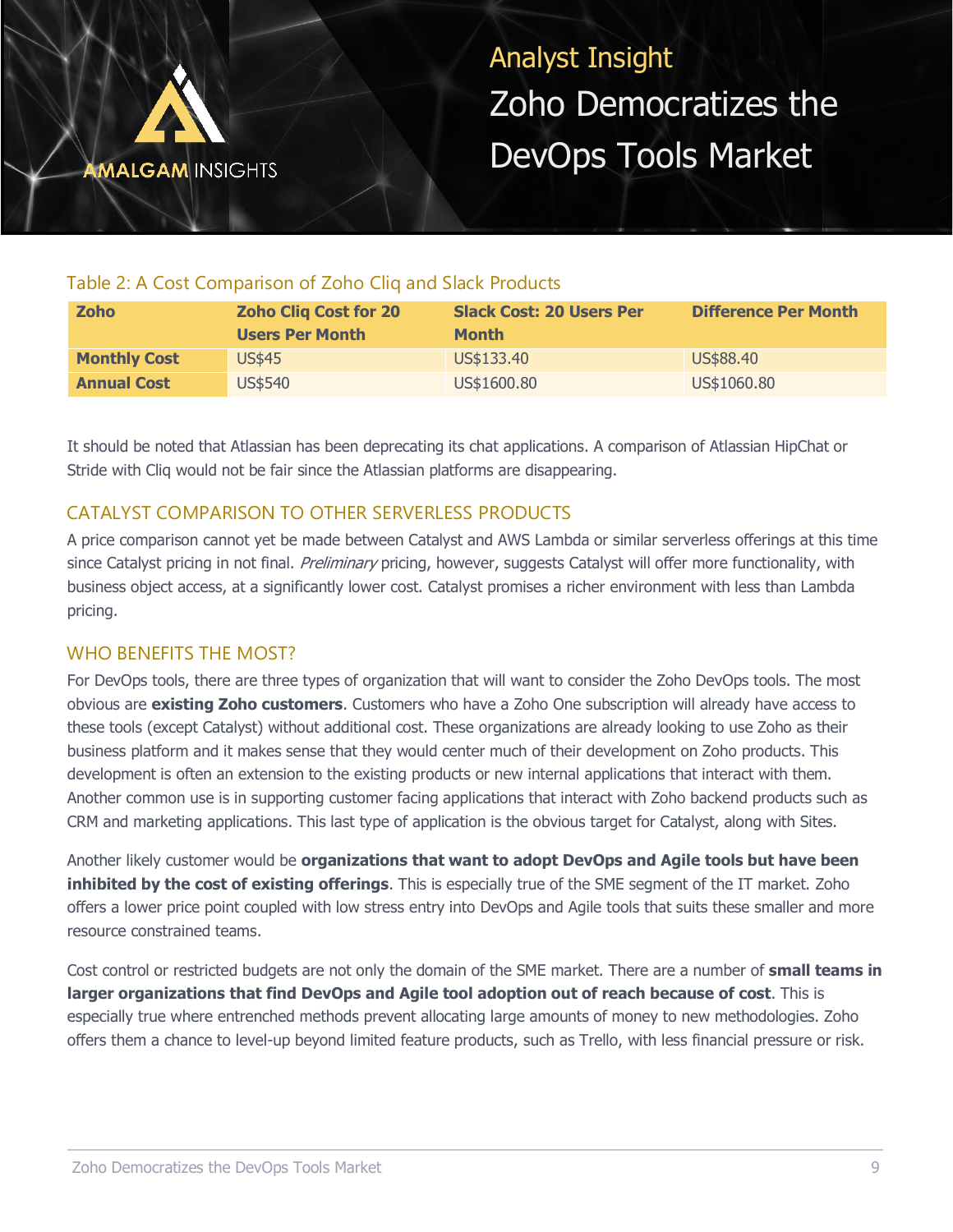![](_page_8_Picture_0.jpeg)

## Table 2: A Cost Comparison of Zoho Cliq and Slack Products

| <b>Zoho</b>         | <b>Zoho Cliq Cost for 20</b><br><b>Users Per Month</b> | <b>Slack Cost: 20 Users Per</b><br><b>Month</b> | <b>Difference Per Month</b> |
|---------------------|--------------------------------------------------------|-------------------------------------------------|-----------------------------|
| <b>Monthly Cost</b> | <b>US\$45</b>                                          | US\$133.40                                      | US\$88.40                   |
| <b>Annual Cost</b>  | US\$540                                                | US\$1600.80                                     | US\$1060.80                 |

It should be noted that Atlassian has been deprecating its chat applications. A comparison of Atlassian HipChat or Stride with Cliq would not be fair since the Atlassian platforms are disappearing.

## CATALYST COMPARISON TO OTHER SERVERLESS PRODUCTS

A price comparison cannot yet be made between Catalyst and AWS Lambda or similar serverless offerings at this time since Catalyst pricing in not final. Preliminary pricing, however, suggests Catalyst will offer more functionality, with business object access, at a significantly lower cost. Catalyst promises a richer environment with less than Lambda pricing.

## WHO BENEFITS THE MOST?

For DevOps tools, there are three types of organization that will want to consider the Zoho DevOps tools. The most obvious are **existing Zoho customers**. Customers who have a Zoho One subscription will already have access to these tools (except Catalyst) without additional cost. These organizations are already looking to use Zoho as their business platform and it makes sense that they would center much of their development on Zoho products. This development is often an extension to the existing products or new internal applications that interact with them. Another common use is in supporting customer facing applications that interact with Zoho backend products such as CRM and marketing applications. This last type of application is the obvious target for Catalyst, along with Sites.

Another likely customer would be **organizations that want to adopt DevOps and Agile tools but have been inhibited by the cost of existing offerings**. This is especially true of the SME segment of the IT market. Zoho offers a lower price point coupled with low stress entry into DevOps and Agile tools that suits these smaller and more resource constrained teams.

Cost control or restricted budgets are not only the domain of the SME market. There are a number of **small teams in larger organizations that find DevOps and Agile tool adoption out of reach because of cost**. This is especially true where entrenched methods prevent allocating large amounts of money to new methodologies. Zoho offers them a chance to level-up beyond limited feature products, such as Trello, with less financial pressure or risk.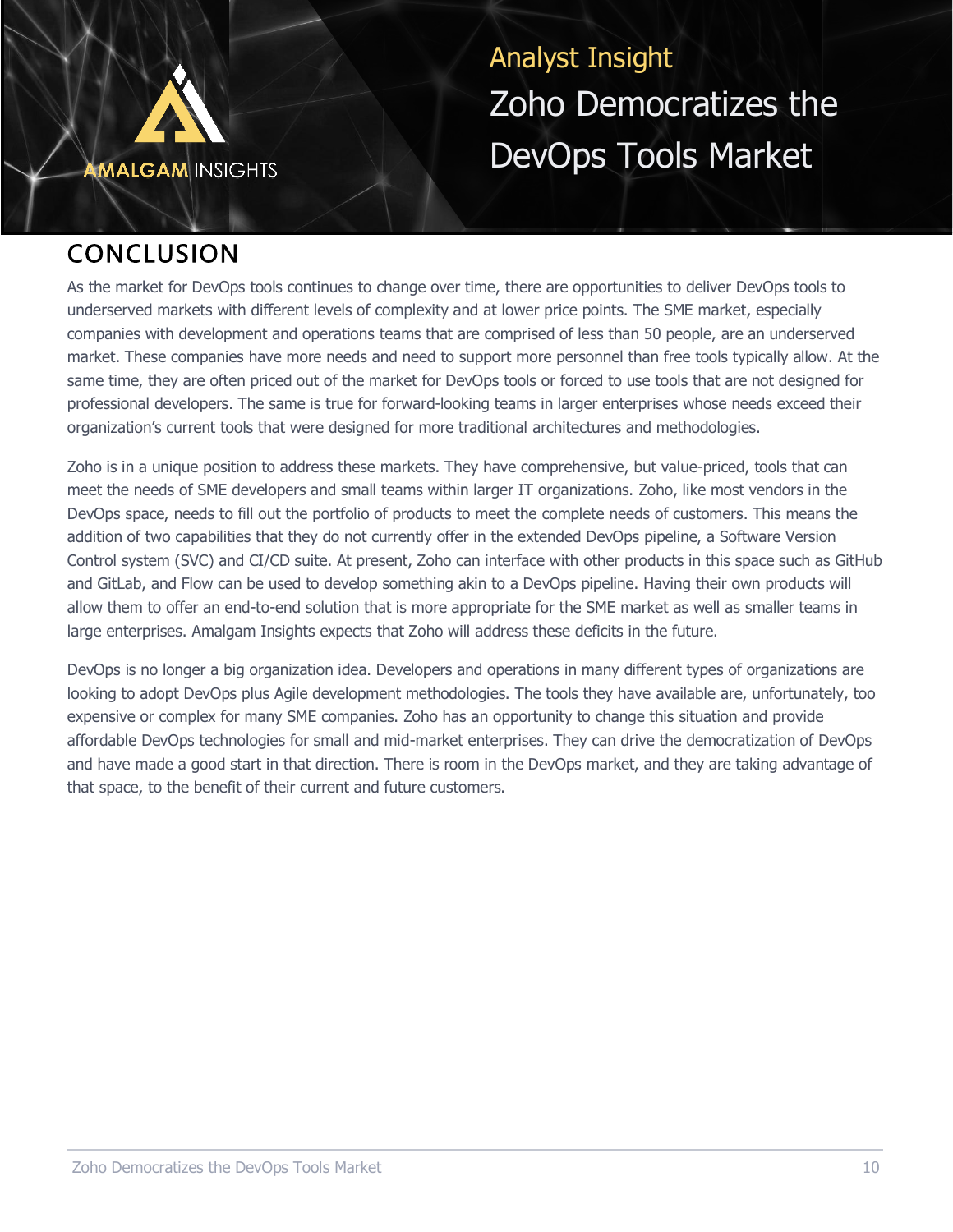![](_page_9_Picture_0.jpeg)

## **CONCLUSION**

As the market for DevOps tools continues to change over time, there are opportunities to deliver DevOps tools to underserved markets with different levels of complexity and at lower price points. The SME market, especially companies with development and operations teams that are comprised of less than 50 people, are an underserved market. These companies have more needs and need to support more personnel than free tools typically allow. At the same time, they are often priced out of the market for DevOps tools or forced to use tools that are not designed for professional developers. The same is true for forward-looking teams in larger enterprises whose needs exceed their organization's current tools that were designed for more traditional architectures and methodologies.

Zoho is in a unique position to address these markets. They have comprehensive, but value-priced, tools that can meet the needs of SME developers and small teams within larger IT organizations. Zoho, like most vendors in the DevOps space, needs to fill out the portfolio of products to meet the complete needs of customers. This means the addition of two capabilities that they do not currently offer in the extended DevOps pipeline, a Software Version Control system (SVC) and CI/CD suite. At present, Zoho can interface with other products in this space such as GitHub and GitLab, and Flow can be used to develop something akin to a DevOps pipeline. Having their own products will allow them to offer an end-to-end solution that is more appropriate for the SME market as well as smaller teams in large enterprises. Amalgam Insights expects that Zoho will address these deficits in the future.

DevOps is no longer a big organization idea. Developers and operations in many different types of organizations are looking to adopt DevOps plus Agile development methodologies. The tools they have available are, unfortunately, too expensive or complex for many SME companies. Zoho has an opportunity to change this situation and provide affordable DevOps technologies for small and mid-market enterprises. They can drive the democratization of DevOps and have made a good start in that direction. There is room in the DevOps market, and they are taking advantage of that space, to the benefit of their current and future customers.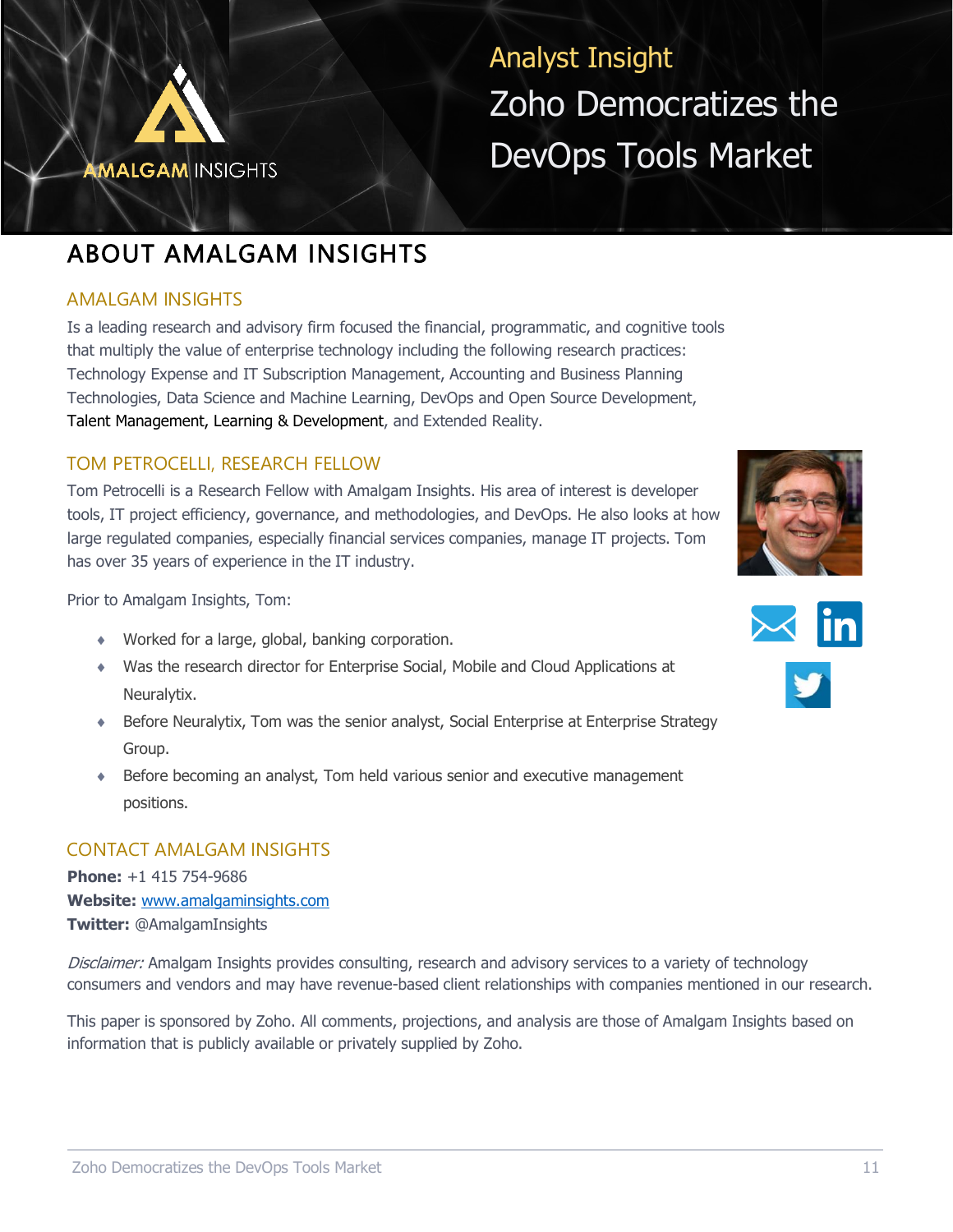![](_page_10_Picture_0.jpeg)

## ABOUT AMALGAM INSIGHTS

## AMALGAM INSIGHTS

Is a leading research and advisory firm focused the financial, programmatic, and cognitive tools that multiply the value of enterprise technology including the following research practices: Technology Expense and IT Subscription Management, Accounting and Business Planning Technologies, Data Science and Machine Learning, DevOps and Open Source Development, Talent Management, Learning & Development, and Extended Reality.

## TOM PETROCELLI, RESEARCH FELLOW

Tom Petrocelli is a Research Fellow with Amalgam Insights. His area of interest is developer tools, IT project efficiency, governance, and methodologies, and DevOps. He also looks at how large regulated companies, especially financial services companies, manage IT projects. Tom has over 35 years of experience in the IT industry.

Prior to Amalgam Insights, Tom:

- Worked for a large, global, banking corporation.
- Was the research director for Enterprise Social, Mobile and Cloud Applications at Neuralytix.
- Before Neuralytix, Tom was the senior analyst, Social Enterprise at Enterprise Strategy Group.
- Before becoming an analyst, Tom held various senior and executive management positions.

## CONTACT AMALGAM INSIGHTS

**Phone:** +1 415 754-9686 **Website:** [www.amalgaminsights.com](http://www.amalgaminsights.com/) **Twitter:** @AmalgamInsights

Disclaimer: Amalgam Insights provides consulting, research and advisory services to a variety of technology consumers and vendors and may have revenue-based client relationships with companies mentioned in our research.

This paper is sponsored by Zoho. All comments, projections, and analysis are those of Amalgam Insights based on information that is publicly available or privately supplied by Zoho.

![](_page_10_Picture_16.jpeg)

![](_page_10_Picture_17.jpeg)